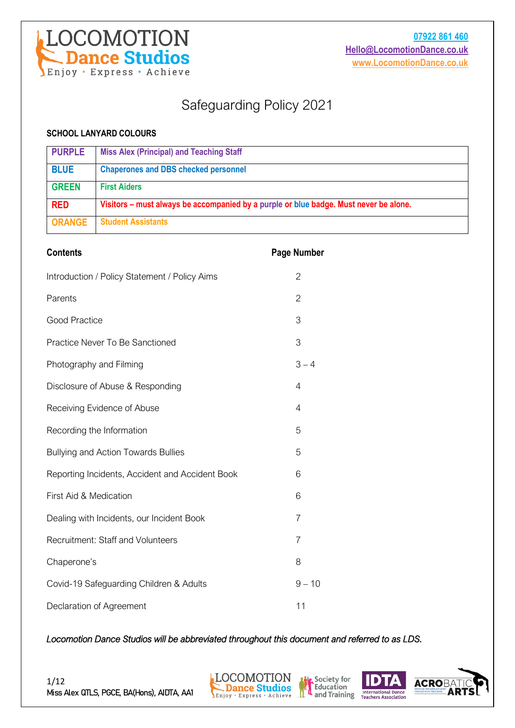

### Safeguarding Policy 2021

#### **SCHOOL LANYARD COLOURS**

| <b>PURPLE</b> | <b>Miss Alex (Principal) and Teaching Staff</b>                                       |
|---------------|---------------------------------------------------------------------------------------|
| <b>BLUE</b>   | <b>Chaperones and DBS checked personnel</b>                                           |
| <b>GREEN</b>  | <b>First Aiders</b>                                                                   |
| <b>RED</b>    | Visitors – must always be accompanied by a purple or blue badge. Must never be alone. |
| <b>ORANGE</b> | <b>Student Assistants</b>                                                             |

| <b>Contents</b>                                 | <b>Page Number</b> |
|-------------------------------------------------|--------------------|
| Introduction / Policy Statement / Policy Aims   | $\overline{2}$     |
| Parents                                         | $\overline{2}$     |
| Good Practice                                   | 3                  |
| Practice Never To Be Sanctioned                 | 3                  |
| Photography and Filming                         | $3 - 4$            |
| Disclosure of Abuse & Responding                | 4                  |
| Receiving Evidence of Abuse                     | 4                  |
| Recording the Information                       | 5                  |
| Bullying and Action Towards Bullies             | 5                  |
| Reporting Incidents, Accident and Accident Book | 6                  |
| First Aid & Medication                          | 6                  |
| Dealing with Incidents, our Incident Book       | 7                  |
| <b>Recruitment: Staff and Volunteers</b>        | 7                  |
| Chaperone's                                     | 8                  |
| Covid-19 Safeguarding Children & Adults         | $9 - 10$           |
| Declaration of Agreement                        | 11                 |

*Locomotion Dance Studios will be abbreviated throughout this document and referred to as LDS.* 



Society for<br>Education

and Training International Dance

**ACROE**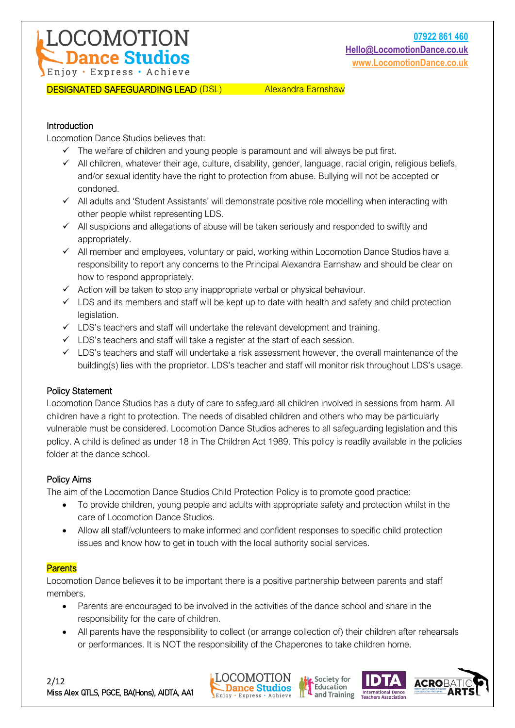#### DESIGNATED SAFEGUARDING LEAD (DSL) Alexandra Earnshaw

#### Introduction

Locomotion Dance Studios believes that:

- $\checkmark$  The welfare of children and young people is paramount and will always be put first.
- ✓ All children, whatever their age, culture, disability, gender, language, racial origin, religious beliefs, and/or sexual identity have the right to protection from abuse. Bullying will not be accepted or condoned.
- ✓ All adults and 'Student Assistants' will demonstrate positive role modelling when interacting with other people whilst representing LDS.
- $\checkmark$  All suspicions and allegations of abuse will be taken seriously and responded to swiftly and appropriately.
- ✓ All member and employees, voluntary or paid, working within Locomotion Dance Studios have a responsibility to report any concerns to the Principal Alexandra Earnshaw and should be clear on how to respond appropriately.
- $\checkmark$  Action will be taken to stop any inappropriate verbal or physical behaviour.
- $\checkmark$  LDS and its members and staff will be kept up to date with health and safety and child protection legislation.
- $\checkmark$  LDS's teachers and staff will undertake the relevant development and training.
- $\checkmark$  LDS's teachers and staff will take a register at the start of each session.
- $\checkmark$  LDS's teachers and staff will undertake a risk assessment however, the overall maintenance of the building(s) lies with the proprietor. LDS's teacher and staff will monitor risk throughout LDS's usage.

#### Policy Statement

Locomotion Dance Studios has a duty of care to safeguard all children involved in sessions from harm. All children have a right to protection. The needs of disabled children and others who may be particularly vulnerable must be considered. Locomotion Dance Studios adheres to all safeguarding legislation and this policy. A child is defined as under 18 in The Children Act 1989. This policy is readily available in the policies folder at the dance school.

#### Policy Aims

The aim of the Locomotion Dance Studios Child Protection Policy is to promote good practice:

- To provide children, young people and adults with appropriate safety and protection whilst in the care of Locomotion Dance Studios.
- Allow all staff/volunteers to make informed and confident responses to specific child protection issues and know how to get in touch with the local authority social services.

#### **Parents**

Locomotion Dance believes it to be important there is a positive partnership between parents and staff members.

- Parents are encouraged to be involved in the activities of the dance school and share in the responsibility for the care of children.
- All parents have the responsibility to collect (or arrange collection of) their children after rehearsals or performances. It is NOT the responsibility of the Chaperones to take children home.







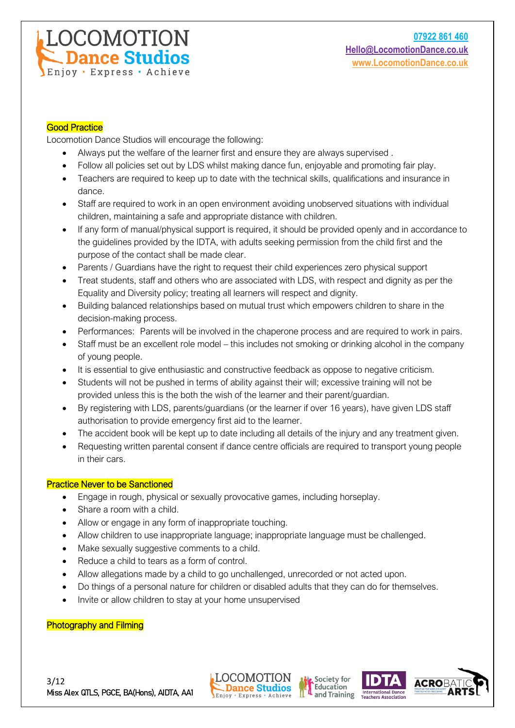#### Good Practice

Locomotion Dance Studios will encourage the following:

**DCOMOTION Dance Studios** 

Enjoy · Express · Achieve

- Always put the welfare of the learner first and ensure they are always supervised .
- Follow all policies set out by LDS whilst making dance fun, enjoyable and promoting fair play.
- Teachers are required to keep up to date with the technical skills, qualifications and insurance in dance.
- Staff are required to work in an open environment avoiding unobserved situations with individual children, maintaining a safe and appropriate distance with children.
- If any form of manual/physical support is required, it should be provided openly and in accordance to the guidelines provided by the IDTA, with adults seeking permission from the child first and the purpose of the contact shall be made clear.
- Parents / Guardians have the right to request their child experiences zero physical support
- Treat students, staff and others who are associated with LDS, with respect and dignity as per the Equality and Diversity policy; treating all learners will respect and dignity.
- Building balanced relationships based on mutual trust which empowers children to share in the decision-making process.
- Performances: Parents will be involved in the chaperone process and are required to work in pairs.
- Staff must be an excellent role model this includes not smoking or drinking alcohol in the company of young people.
- It is essential to give enthusiastic and constructive feedback as oppose to negative criticism.
- Students will not be pushed in terms of ability against their will; excessive training will not be provided unless this is the both the wish of the learner and their parent/guardian.
- By registering with LDS, parents/guardians (or the learner if over 16 years), have given LDS staff authorisation to provide emergency first aid to the learner.
- The accident book will be kept up to date including all details of the injury and any treatment given.
- Requesting written parental consent if dance centre officials are required to transport young people in their cars.

#### Practice Never to be Sanctioned

- Engage in rough, physical or sexually provocative games, including horseplay.
- Share a room with a child.
- Allow or engage in any form of inappropriate touching.
- Allow children to use inappropriate language; inappropriate language must be challenged.
- Make sexually suggestive comments to a child.
- Reduce a child to tears as a form of control.
- Allow allegations made by a child to go unchallenged, unrecorded or not acted upon.
- Do things of a personal nature for children or disabled adults that they can do for themselves.
- Invite or allow children to stay at your home unsupervised

#### Photography and Filming







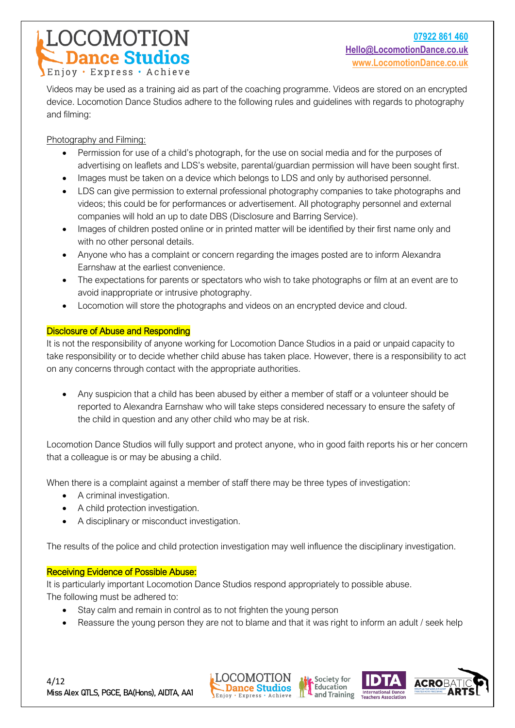# **COMOTION**<br>- Dance Studios Enjoy · Express · Achieve

Videos may be used as a training aid as part of the coaching programme. Videos are stored on an encrypted device. Locomotion Dance Studios adhere to the following rules and guidelines with regards to photography and filming:

Photography and Filming:

- Permission for use of a child's photograph, for the use on social media and for the purposes of advertising on leaflets and LDS's website, parental/guardian permission will have been sought first.
- Images must be taken on a device which belongs to LDS and only by authorised personnel.
- LDS can give permission to external professional photography companies to take photographs and videos; this could be for performances or advertisement. All photography personnel and external companies will hold an up to date DBS (Disclosure and Barring Service).
- Images of children posted online or in printed matter will be identified by their first name only and with no other personal details.
- Anyone who has a complaint or concern regarding the images posted are to inform Alexandra Earnshaw at the earliest convenience.
- The expectations for parents or spectators who wish to take photographs or film at an event are to avoid inappropriate or intrusive photography.
- Locomotion will store the photographs and videos on an encrypted device and cloud.

#### Disclosure of Abuse and Responding

It is not the responsibility of anyone working for Locomotion Dance Studios in a paid or unpaid capacity to take responsibility or to decide whether child abuse has taken place. However, there is a responsibility to act on any concerns through contact with the appropriate authorities.

• Any suspicion that a child has been abused by either a member of staff or a volunteer should be reported to Alexandra Earnshaw who will take steps considered necessary to ensure the safety of the child in question and any other child who may be at risk.

Locomotion Dance Studios will fully support and protect anyone, who in good faith reports his or her concern that a colleague is or may be abusing a child.

When there is a complaint against a member of staff there may be three types of investigation:

- A criminal investigation.
- A child protection investigation.
- A disciplinary or misconduct investigation.

The results of the police and child protection investigation may well influence the disciplinary investigation.

#### Receiving Evidence of Possible Abuse:

It is particularly important Locomotion Dance Studios respond appropriately to possible abuse. The following must be adhered to:

- Stay calm and remain in control as to not frighten the young person
- Reassure the young person they are not to blame and that it was right to inform an adult / seek help







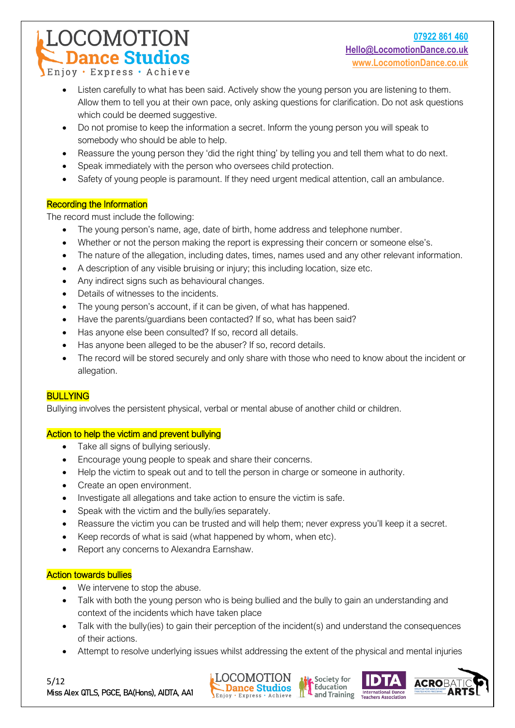OCOMOTION **Dance Studios** 

- Listen carefully to what has been said. Actively show the young person you are listening to them. Allow them to tell you at their own pace, only asking questions for clarification. Do not ask questions which could be deemed suggestive.
- Do not promise to keep the information a secret. Inform the young person you will speak to somebody who should be able to help.
- Reassure the young person they 'did the right thing' by telling you and tell them what to do next.
- Speak immediately with the person who oversees child protection.
- Safety of young people is paramount. If they need urgent medical attention, call an ambulance.

#### Recording the Information

The record must include the following:

- The young person's name, age, date of birth, home address and telephone number.
- Whether or not the person making the report is expressing their concern or someone else's.
- The nature of the allegation, including dates, times, names used and any other relevant information.
- A description of any visible bruising or injury; this including location, size etc.
- Any indirect signs such as behavioural changes.
- Details of witnesses to the incidents.
- The young person's account, if it can be given, of what has happened.
- Have the parents/guardians been contacted? If so, what has been said?
- Has anyone else been consulted? If so, record all details.
- Has anyone been alleged to be the abuser? If so, record details.
- The record will be stored securely and only share with those who need to know about the incident or allegation.

#### **BULLYING**

Bullying involves the persistent physical, verbal or mental abuse of another child or children.

#### Action to help the victim and prevent bullying

- Take all signs of bullying seriously.
- Encourage young people to speak and share their concerns.
- Help the victim to speak out and to tell the person in charge or someone in authority.
- Create an open environment.
- Investigate all allegations and take action to ensure the victim is safe.
- Speak with the victim and the bully/ies separately.
- Reassure the victim you can be trusted and will help them; never express you'll keep it a secret.
- Keep records of what is said (what happened by whom, when etc).
- Report any concerns to Alexandra Earnshaw.

#### Action towards bullies

- We intervene to stop the abuse.
- Talk with both the young person who is being bullied and the bully to gain an understanding and context of the incidents which have taken place
- Talk with the bully(ies) to gain their perception of the incident(s) and understand the consequences of their actions.
- Attempt to resolve underlying issues whilst addressing the extent of the physical and mental injuries







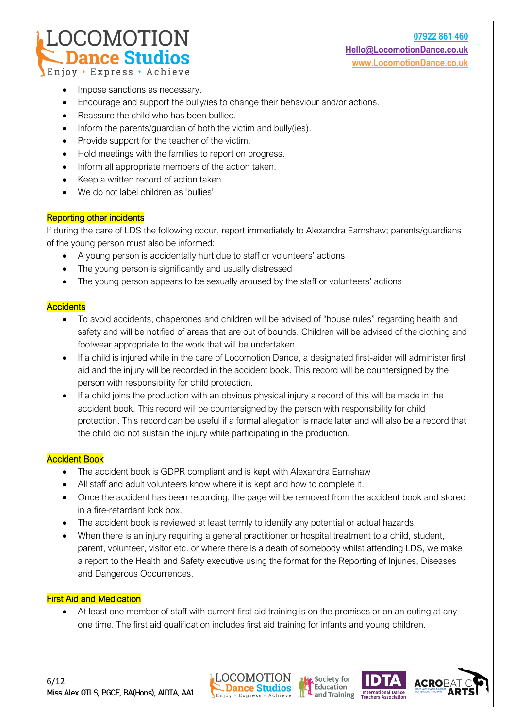#### **07922 861 460 [Hello@LocomotionDance.co.uk](mailto:Hello@LocomotionDance.co.uk) [www.LocomotionDance.co.uk](http://www.locomotiondance.co.uk/)**

Enjoy · Express · Achieve

Impose sanctions as necessary.

**DCOMOTION Dance Studios** 

- Encourage and support the bully/ies to change their behaviour and/or actions.
- Reassure the child who has been bullied.
- Inform the parents/guardian of both the victim and bully(ies).
- Provide support for the teacher of the victim.
- Hold meetings with the families to report on progress.
- Inform all appropriate members of the action taken.
- Keep a written record of action taken.
- We do not label children as 'bullies'

#### Reporting other incidents

If during the care of LDS the following occur, report immediately to Alexandra Earnshaw; parents/guardians of the young person must also be informed:

- A young person is accidentally hurt due to staff or volunteers' actions
- The young person is significantly and usually distressed
- The young person appears to be sexually aroused by the staff or volunteers' actions

#### **Accidents**

- To avoid accidents, chaperones and children will be advised of "house rules" regarding health and safety and will be notified of areas that are out of bounds. Children will be advised of the clothing and footwear appropriate to the work that will be undertaken.
- If a child is injured while in the care of Locomotion Dance, a designated first-aider will administer first aid and the injury will be recorded in the accident book. This record will be countersigned by the person with responsibility for child protection.
- If a child joins the production with an obvious physical injury a record of this will be made in the accident book. This record will be countersigned by the person with responsibility for child protection. This record can be useful if a formal allegation is made later and will also be a record that the child did not sustain the injury while participating in the production.

#### Accident Book

- The accident book is GDPR compliant and is kept with Alexandra Earnshaw
- All staff and adult volunteers know where it is kept and how to complete it.
- Once the accident has been recording, the page will be removed from the accident book and stored in a fire-retardant lock box.
- The accident book is reviewed at least termly to identify any potential or actual hazards.
- When there is an injury requiring a general practitioner or hospital treatment to a child, student, parent, volunteer, visitor etc. or where there is a death of somebody whilst attending LDS, we make a report to the Health and Safety executive using the format for the Reporting of Injuries, Diseases and Dangerous Occurrences.

#### First Aid and Medication

• At least one member of staff with current first aid training is on the premises or on an outing at any one time. The first aid qualification includes first aid training for infants and young children.







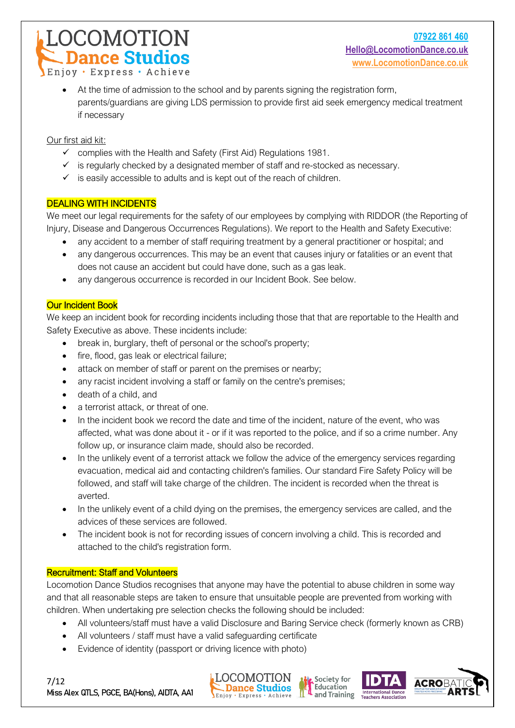OCOMOTION.

**Dance Studios** 

• At the time of admission to the school and by parents signing the registration form, parents/guardians are giving LDS permission to provide first aid seek emergency medical treatment if necessary

Our first aid kit:

- $\checkmark$  complies with the Health and Safety (First Aid) Regulations 1981.
- ✓ is regularly checked by a designated member of staff and re-stocked as necessary.
- $\checkmark$  is easily accessible to adults and is kept out of the reach of children.

#### DEALING WITH INCIDENTS

We meet our legal requirements for the safety of our employees by complying with RIDDOR (the Reporting of Injury, Disease and Dangerous Occurrences Regulations). We report to the Health and Safety Executive:

- any accident to a member of staff requiring treatment by a general practitioner or hospital; and
- any dangerous occurrences. This may be an event that causes injury or fatalities or an event that does not cause an accident but could have done, such as a gas leak.
- any dangerous occurrence is recorded in our Incident Book. See below.

#### Our Incident Book

We keep an incident book for recording incidents including those that that are reportable to the Health and Safety Executive as above. These incidents include:

- break in, burglary, theft of personal or the school's property;
- fire, flood, gas leak or electrical failure;
- attack on member of staff or parent on the premises or nearby;
- any racist incident involving a staff or family on the centre's premises;
- death of a child, and
- a terrorist attack, or threat of one.
- In the incident book we record the date and time of the incident, nature of the event, who was affected, what was done about it - or if it was reported to the police, and if so a crime number. Any follow up, or insurance claim made, should also be recorded.
- In the unlikely event of a terrorist attack we follow the advice of the emergency services regarding evacuation, medical aid and contacting children's families. Our standard Fire Safety Policy will be followed, and staff will take charge of the children. The incident is recorded when the threat is averted.
- In the unlikely event of a child dying on the premises, the emergency services are called, and the advices of these services are followed.
- The incident book is not for recording issues of concern involving a child. This is recorded and attached to the child's registration form.

#### Recruitment: Staff and Volunteers

Locomotion Dance Studios recognises that anyone may have the potential to abuse children in some way and that all reasonable steps are taken to ensure that unsuitable people are prevented from working with children. When undertaking pre selection checks the following should be included:

- All volunteers/staff must have a valid Disclosure and Baring Service check (formerly known as CRB)
- All volunteers / staff must have a valid safeguarding certificate
- Evidence of identity (passport or driving licence with photo)







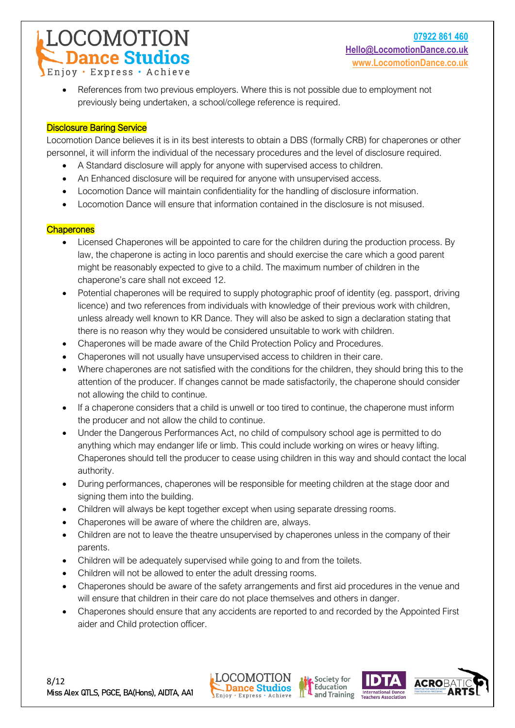OCOMOTION.

**Dance Studios** 

• References from two previous employers. Where this is not possible due to employment not previously being undertaken, a school/college reference is required.

#### Disclosure Baring Service

Locomotion Dance believes it is in its best interests to obtain a DBS (formally CRB) for chaperones or other personnel, it will inform the individual of the necessary procedures and the level of disclosure required.

- A Standard disclosure will apply for anyone with supervised access to children.
- An Enhanced disclosure will be required for anyone with unsupervised access.
- Locomotion Dance will maintain confidentiality for the handling of disclosure information.
- Locomotion Dance will ensure that information contained in the disclosure is not misused.

#### **Chaperones**

- Licensed Chaperones will be appointed to care for the children during the production process. By law, the chaperone is acting in loco parentis and should exercise the care which a good parent might be reasonably expected to give to a child. The maximum number of children in the chaperone's care shall not exceed 12.
- Potential chaperones will be required to supply photographic proof of identity (eg. passport, driving licence) and two references from individuals with knowledge of their previous work with children, unless already well known to KR Dance. They will also be asked to sign a declaration stating that there is no reason why they would be considered unsuitable to work with children.
- Chaperones will be made aware of the Child Protection Policy and Procedures.
- Chaperones will not usually have unsupervised access to children in their care.
- Where chaperones are not satisfied with the conditions for the children, they should bring this to the attention of the producer. If changes cannot be made satisfactorily, the chaperone should consider not allowing the child to continue.
- If a chaperone considers that a child is unwell or too tired to continue, the chaperone must inform the producer and not allow the child to continue.
- Under the Dangerous Performances Act, no child of compulsory school age is permitted to do anything which may endanger life or limb. This could include working on wires or heavy lifting. Chaperones should tell the producer to cease using children in this way and should contact the local authority.
- During performances, chaperones will be responsible for meeting children at the stage door and signing them into the building.
- Children will always be kept together except when using separate dressing rooms.
- Chaperones will be aware of where the children are, always.
- Children are not to leave the theatre unsupervised by chaperones unless in the company of their parents.
- Children will be adequately supervised while going to and from the toilets.
- Children will not be allowed to enter the adult dressing rooms.
- Chaperones should be aware of the safety arrangements and first aid procedures in the venue and will ensure that children in their care do not place themselves and others in danger.
- Chaperones should ensure that any accidents are reported to and recorded by the Appointed First aider and Child protection officer.







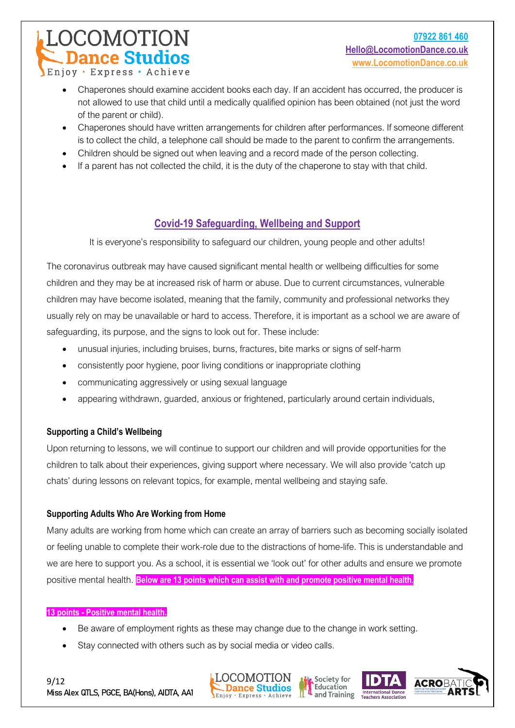## **COMOTION Dance Studios**

Enjoy · Express · Achieve

- Chaperones should examine accident books each day. If an accident has occurred, the producer is not allowed to use that child until a medically qualified opinion has been obtained (not just the word of the parent or child).
- Chaperones should have written arrangements for children after performances. If someone different is to collect the child, a telephone call should be made to the parent to confirm the arrangements.
- Children should be signed out when leaving and a record made of the person collecting.
- If a parent has not collected the child, it is the duty of the chaperone to stay with that child.

### **Covid-19 Safeguarding, Wellbeing and Support**

It is everyone's responsibility to safeguard our children, young people and other adults!

The coronavirus outbreak may have caused significant mental health or wellbeing difficulties for some children and they may be at increased risk of harm or abuse. Due to current circumstances, vulnerable children may have become isolated, meaning that the family, community and professional networks they usually rely on may be unavailable or hard to access. Therefore, it is important as a school we are aware of safeguarding, its purpose, and the signs to look out for. These include:

- unusual injuries, including bruises, burns, fractures, bite marks or signs of self-harm
- consistently poor hygiene, poor living conditions or inappropriate clothing
- communicating aggressively or using sexual language
- appearing withdrawn, guarded, anxious or frightened, particularly around certain individuals,

#### **Supporting a Child's Wellbeing**

Upon returning to lessons, we will continue to support our children and will provide opportunities for the children to talk about their experiences, giving support where necessary. We will also provide 'catch up chats' during lessons on relevant topics, for example, mental wellbeing and staying safe.

#### **Supporting Adults Who Are Working from Home**

Many adults are working from home which can create an array of barriers such as becoming socially isolated or feeling unable to complete their work-role due to the distractions of home-life. This is understandable and we are here to support you. As a school, it is essential we 'look out' for other adults and ensure we promote positive mental health. **Below are 13 points which can assist with and promote positive mental health.**

#### **13 points - Positive mental health.**

- Be aware of employment rights as these may change due to the change in work setting.
- Stay connected with others such as by social media or video calls.







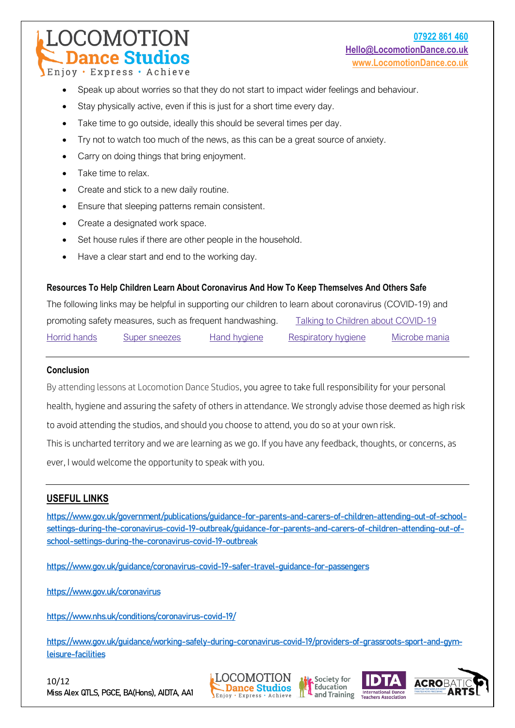### **COMOTION Dance Studios**

Enjoy · Express · Achieve

- Speak up about worries so that they do not start to impact wider feelings and behaviour.
- Stay physically active, even if this is just for a short time every day.
- Take time to go outside, ideally this should be several times per day.
- Try not to watch too much of the news, as this can be a great source of anxiety.
- Carry on doing things that bring enjoyment.
- Take time to relax.
- Create and stick to a new daily routine.
- Ensure that sleeping patterns remain consistent.
- Create a designated work space.
- Set house rules if there are other people in the household.
- Have a clear start and end to the working day.

#### **Resources To Help Children Learn About Coronavirus And How To Keep Themselves And Others Safe**

The following links may be helpful in supporting our children to learn about coronavirus (COVID-19) and promoting safety measures, such as frequent handwashing. Talking to Children about [COVID-19](https://www.brighthorizons.com/family-resources/talking-to-children-about-covid19) Horrid [hands](https://e-bug.eu/junior_pack_ks1.aspx?cc=eng&ss=2&t=Horrid%20Hands) Super [sneezes](https://e-bug.eu/junior_pack_ks1.aspx?cc=eng&ss=2&t=Super%20Sneezes) Hand [hygiene](https://e-bug.eu/junior_pack.aspx?cc=eng&ss=2&t=Hand%20Hygiene) [Respiratory](https://e-bug.eu/junior_pack.aspx?cc=eng&ss=2&t=Respiratory%20Hygiene) hygiene [Microbe](https://e-bug.eu/lang_eng/UK%20KS1%20Pack/Microbe%20Mania/Microbe-Mania-Poster.pdf) mania

#### **Conclusion**

By attending lessons at Locomotion Dance Studios, you agree to take full responsibility for your personal health, hygiene and assuring the safety of others in attendance. We strongly advise those deemed as high risk to avoid attending the studios, and should you choose to attend, you do so at your own risk. This is uncharted territory and we are learning as we go. If you have any feedback, thoughts, or concerns, as ever, I would welcome the opportunity to speak with you.

#### **USEFUL LINKS**

[https://www.gov.uk/government/publications/guidance-for-parents-and-carers-of-children-attending-out-of-school](https://www.gov.uk/government/publications/guidance-for-parents-and-carers-of-children-attending-out-of-school-settings-during-the-coronavirus-covid-19-outbreak/guidance-for-parents-and-carers-of-children-attending-out-of-school-settings-during-the-coronavirus-covid-19-outbreak)[settings-during-the-coronavirus-covid-19-outbreak/guidance-for-parents-and-carers-of-children-attending-out-of](https://www.gov.uk/government/publications/guidance-for-parents-and-carers-of-children-attending-out-of-school-settings-during-the-coronavirus-covid-19-outbreak/guidance-for-parents-and-carers-of-children-attending-out-of-school-settings-during-the-coronavirus-covid-19-outbreak)[school-settings-during-the-coronavirus-covid-19-outbreak](https://www.gov.uk/government/publications/guidance-for-parents-and-carers-of-children-attending-out-of-school-settings-during-the-coronavirus-covid-19-outbreak/guidance-for-parents-and-carers-of-children-attending-out-of-school-settings-during-the-coronavirus-covid-19-outbreak)

<https://www.gov.uk/guidance/coronavirus-covid-19-safer-travel-guidance-for-passengers>

<https://www.gov.uk/coronavirus>

<https://www.nhs.uk/conditions/coronavirus-covid-19/>

[https://www.gov.uk/guidance/working-safely-during-coronavirus-covid-19/providers-of-grassroots-sport-and-gym](https://www.gov.uk/guidance/working-safely-during-coronavirus-covid-19/providers-of-grassroots-sport-and-gym-leisure-facilities)[leisure-facilities](https://www.gov.uk/guidance/working-safely-during-coronavirus-covid-19/providers-of-grassroots-sport-and-gym-leisure-facilities)

10/12 Miss Alex QTLS, PGCE, BA(Hons), AIDTA, AA1







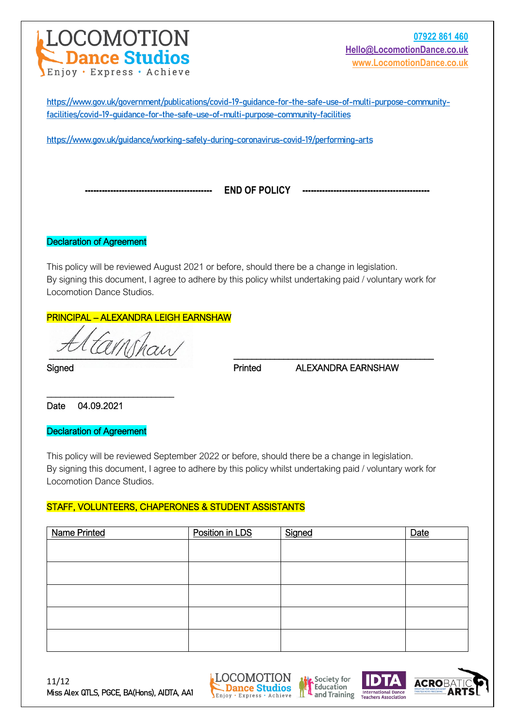

[https://www.gov.uk/government/publications/covid-19-guidance-for-the-safe-use-of-multi-purpose-community](https://www.gov.uk/government/publications/covid-19-guidance-for-the-safe-use-of-multi-purpose-community-facilities/covid-19-guidance-for-the-safe-use-of-multi-purpose-community-facilities)[facilities/covid-19-guidance-for-the-safe-use-of-multi-purpose-community-facilities](https://www.gov.uk/government/publications/covid-19-guidance-for-the-safe-use-of-multi-purpose-community-facilities/covid-19-guidance-for-the-safe-use-of-multi-purpose-community-facilities)

<https://www.gov.uk/guidance/working-safely-during-coronavirus-covid-19/performing-arts>

**--------------------------------------------- END OF POLICY ---------------------------------------------**

Declaration of Agreement

This policy will be reviewed August 2021 or before, should there be a change in legislation. By signing this document, I agree to adhere by this policy whilst undertaking paid / voluntary work for Locomotion Dance Studios.

#### PRINCIPAL – ALEXANDRA LEIGH EARNSHAW

tamhan

\_\_\_\_\_\_\_\_\_\_\_\_\_\_\_\_\_\_\_\_\_\_\_\_\_\_\_\_

Signed **Printed ALEXANDRA EARNSHAW** 

Date 04.09.2021

Declaration of Agreement

This policy will be reviewed September 2022 or before, should there be a change in legislation. By signing this document, I agree to adhere by this policy whilst undertaking paid / voluntary work for Locomotion Dance Studios.

#### STAFF, VOLUNTEERS, CHAPERONES & STUDENT ASSISTANTS

| <b>Name Printed</b> | Position in LDS | Signed | Date |
|---------------------|-----------------|--------|------|
|                     |                 |        |      |
|                     |                 |        |      |
|                     |                 |        |      |
|                     |                 |        |      |
|                     |                 |        |      |
|                     |                 |        |      |
|                     |                 |        |      |
|                     |                 |        |      |